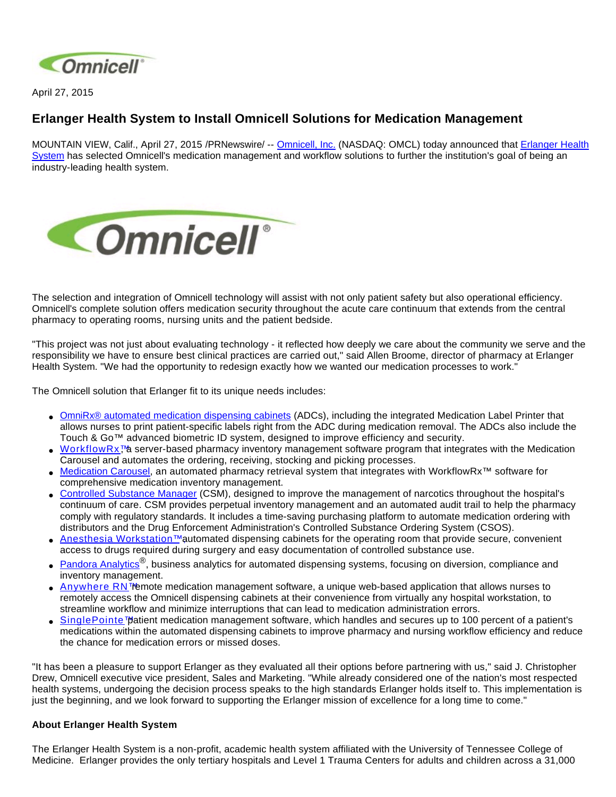

April 27, 2015

## **Erlanger Health System to Install Omnicell Solutions for Medication Management**

MOUNTAIN VIEW, Calif., April 27, 2015 /PRNewswire/ -- [Omnicell, Inc.](http://www.omnicell.com/) (NASDAQ: OMCL) today announced that Erlanger Health [System](https://www.erlanger.org/) has selected Omnicell's medication management and workflow solutions to further the institution's goal of being an industry-leading health system.



The selection and integration of Omnicell technology will assist with not only patient safety but also operational efficiency. Omnicell's complete solution offers medication security throughout the acute care continuum that extends from the central pharmacy to operating rooms, nursing units and the patient bedside.

"This project was not just about evaluating technology - it reflected how deeply we care about the community we serve and the responsibility we have to ensure best clinical practices are carried out," said Allen Broome, director of pharmacy at Erlanger Health System. "We had the opportunity to redesign exactly how we wanted our medication processes to work."

The Omnicell solution that Erlanger fit to its unique needs includes:

- [OmniRx® automated medication dispensing cabinets](http://www.omnicell.com/Products/Medication_Dispensing/Automated_Medication_Dispensing_Cabinets.aspx) (ADCs), including the integrated Medication Label Printer that allows nurses to print patient-specific labels right from the ADC during medication removal. The ADCs also include the Touch & Go™ advanced biometric ID system, designed to improve efficiency and security.
- [WorkflowRx™](http://www.omnicell.com/Products/Central_Pharmacy_Automation/WorkflowRx_System.aspx) server-based pharmacy inventory management software program that integrates with the Medication Carousel and automates the ordering, receiving, stocking and picking processes.
- [Medication Carousel](http://www.omnicell.com/Products/Central_Pharmacy_Automation/WorkflowRx_System/Inventory_Management_Carousel.aspx), an automated pharmacy retrieval system that integrates with WorkflowRx™ software for comprehensive medication inventory management.
- [Controlled Substance Manager](http://www.omnicell.com/Products/Central_Pharmacy_Automation/Controlled_Substance_Manager.aspx) (CSM), designed to improve the management of narcotics throughout the hospital's continuum of care. CSM provides perpetual inventory management and an automated audit trail to help the pharmacy comply with regulatory standards. It includes a time-saving purchasing platform to automate medication ordering with distributors and the Drug Enforcement Administration's Controlled Substance Ordering System (CSOS).
- [Anesthesia Workstation™](http://www.omnicell.com/Products/Medication_Dispensing/Anesthesia_Workstation_G4.aspx) automated dispensing cabinets for the operating room that provide secure, convenient access to drugs required during surgery and easy documentation of controlled substance use.
- [Pandora Analytics](http://www.omnicell.com/Products/Business_Analytics.aspx)®, business analytics for automated dispensing systems, focusing on diversion, compliance and inventory management.
- [Anywhere RN™](http://www.omnicell.com/Products/Medication_Dispensing/Anywhere_RN_Remote_Medication_Management.aspx) emote medication management software, a unique web-based application that allows nurses to remotely access the Omnicell dispensing cabinets at their convenience from virtually any hospital workstation, to streamline workflow and minimize interruptions that can lead to medication administration errors.
- [SinglePointe™](http://www.omnicell.com/Products/Medication_Dispensing/SinglePointe_Patient_Medication_Management.aspx) patient medication management software, which handles and secures up to 100 percent of a patient's medications within the automated dispensing cabinets to improve pharmacy and nursing workflow efficiency and reduce the chance for medication errors or missed doses.

"It has been a pleasure to support Erlanger as they evaluated all their options before partnering with us," said J. Christopher Drew, Omnicell executive vice president, Sales and Marketing. "While already considered one of the nation's most respected health systems, undergoing the decision process speaks to the high standards Erlanger holds itself to. This implementation is just the beginning, and we look forward to supporting the Erlanger mission of excellence for a long time to come."

## **About Erlanger Health System**

The Erlanger Health System is a non-profit, academic health system affiliated with the University of Tennessee College of Medicine. Erlanger provides the only tertiary hospitals and Level 1 Trauma Centers for adults and children across a 31,000